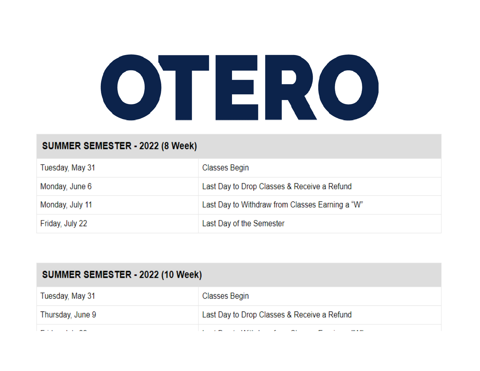

# SUMMER SEMESTER - 2022 (8 Week)

| Tuesday, May 31 | <b>Classes Begin</b>                            |
|-----------------|-------------------------------------------------|
| Monday, June 6  | Last Day to Drop Classes & Receive a Refund     |
| Monday, July 11 | Last Day to Withdraw from Classes Earning a "W" |
| Friday, July 22 | Last Day of the Semester                        |

| SUMMER SEMESTER - 2022 (10 Week) |                                             |  |  |  |  |  |  |  |
|----------------------------------|---------------------------------------------|--|--|--|--|--|--|--|
| Tuesday, May 31                  | Classes Begin                               |  |  |  |  |  |  |  |
| Thursday, June 9                 | Last Day to Drop Classes & Receive a Refund |  |  |  |  |  |  |  |
|                                  |                                             |  |  |  |  |  |  |  |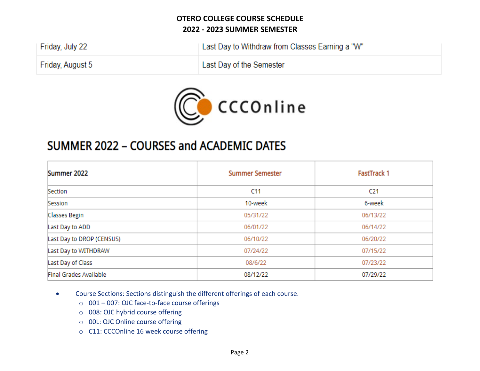| Friday, July 22  | Last Day to Withdraw from Classes Earning a "W" |
|------------------|-------------------------------------------------|
| Friday, August 5 | Last Day of the Semester                        |



# SUMMER 2022 - COURSES and ACADEMIC DATES

| Summer 2022               | <b>Summer Semester</b> | <b>FastTrack 1</b> |  |  |  |
|---------------------------|------------------------|--------------------|--|--|--|
| Section                   | C11                    | C <sub>21</sub>    |  |  |  |
| Session                   | 10-week                | 6-week             |  |  |  |
| Classes Begin             | 05/31/22               | 06/13/22           |  |  |  |
| Last Day to ADD           | 06/01/22               | 06/14/22           |  |  |  |
| Last Day to DROP (CENSUS) | 06/10/22               | 06/20/22           |  |  |  |
| Last Day to WITHDRAW      | 07/24/22               | 07/15/22           |  |  |  |
| Last Day of Class         | 08/6/22                | 07/23/22           |  |  |  |
| Final Grades Available    | 08/12/22               | 07/29/22           |  |  |  |

- Course Sections: Sections distinguish the different offerings of each course.
	- o 001 007: OJC face-to-face course offerings
	- o 008: OJC hybrid course offering
	- o 00L: OJC Online course offering
	- o C11: CCCOnline 16 week course offering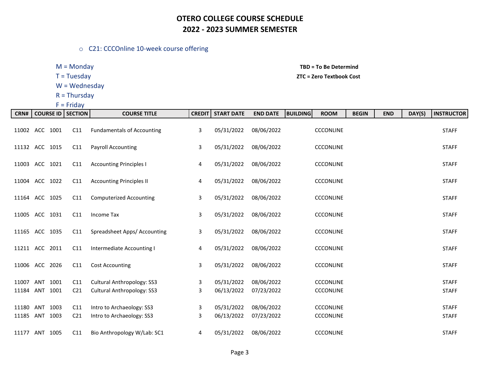#### o C21: CCCOnline 10-week course offering

W = Wednesday

 $R = Thursday$ 

 $F =$  Friday

M = Monday **TBD = To Be Determind**

#### T = Tuesday **ZTC = Zero Textbook Cost**

| CRN#                    | <b>COURSE ID</b> |      | <b>SECTION</b>         | <b>COURSE TITLE</b>                                                    | <b>CREDIT</b> | <b>START DATE</b>        | <b>END DATE</b>          | <b>BUILDING</b><br><b>ROOM</b>       | <b>BEGIN</b> | <b>END</b> | DAY(S) | <b>INSTRUCTOR</b>            |
|-------------------------|------------------|------|------------------------|------------------------------------------------------------------------|---------------|--------------------------|--------------------------|--------------------------------------|--------------|------------|--------|------------------------------|
| 11002 ACC 1001          |                  |      | C11                    | <b>Fundamentals of Accounting</b>                                      | 3             | 05/31/2022               | 08/06/2022               | <b>CCCONLINE</b>                     |              |            |        | <b>STAFF</b>                 |
| 11132 ACC 1015          |                  |      | C11                    | <b>Payroll Accounting</b>                                              | 3             | 05/31/2022               | 08/06/2022               | <b>CCCONLINE</b>                     |              |            |        | <b>STAFF</b>                 |
| 11003 ACC 1021          |                  |      | C11                    | <b>Accounting Principles I</b>                                         | 4             | 05/31/2022               | 08/06/2022               | <b>CCCONLINE</b>                     |              |            |        | <b>STAFF</b>                 |
| 11004 ACC 1022          |                  |      | C11                    | <b>Accounting Principles II</b>                                        | 4             | 05/31/2022               | 08/06/2022               | <b>CCCONLINE</b>                     |              |            |        | <b>STAFF</b>                 |
| 11164 ACC 1025          |                  |      | C11                    | <b>Computerized Accounting</b>                                         | 3             | 05/31/2022               | 08/06/2022               | <b>CCCONLINE</b>                     |              |            |        | <b>STAFF</b>                 |
| 11005 ACC               |                  | 1031 | C11                    | Income Tax                                                             | 3             | 05/31/2022               | 08/06/2022               | <b>CCCONLINE</b>                     |              |            |        | <b>STAFF</b>                 |
| 11165 ACC 1035          |                  |      | C11                    | Spreadsheet Apps/ Accounting                                           | 3             | 05/31/2022               | 08/06/2022               | <b>CCCONLINE</b>                     |              |            |        | <b>STAFF</b>                 |
| 11211 ACC               |                  | 2011 | C11                    | Intermediate Accounting I                                              | 4             | 05/31/2022               | 08/06/2022               | <b>CCCONLINE</b>                     |              |            |        | <b>STAFF</b>                 |
| 11006 ACC 2026          |                  |      | C11                    | <b>Cost Accounting</b>                                                 | 3             | 05/31/2022               | 08/06/2022               | <b>CCCONLINE</b>                     |              |            |        | <b>STAFF</b>                 |
| 11007<br>11184 ANT 1001 | ANT              | 1001 | C11<br>C <sub>21</sub> | <b>Cultural Anthropology: SS3</b><br><b>Cultural Anthropology: SS3</b> | 3<br>3        | 05/31/2022<br>06/13/2022 | 08/06/2022<br>07/23/2022 | <b>CCCONLINE</b><br><b>CCCONLINE</b> |              |            |        | <b>STAFF</b><br><b>STAFF</b> |
| 11180 ANT               |                  | 1003 | C11                    | Intro to Archaeology: SS3                                              | 3             | 05/31/2022               | 08/06/2022               | <b>CCCONLINE</b>                     |              |            |        | <b>STAFF</b>                 |
| 11185 ANT               |                  | 1003 | C <sub>21</sub>        | Intro to Archaeology: SS3                                              | 3             | 06/13/2022               | 07/23/2022               | <b>CCCONLINE</b>                     |              |            |        | <b>STAFF</b>                 |
| 11177 ANT 1005          |                  |      | C11                    | Bio Anthropology W/Lab: SC1                                            | 4             | 05/31/2022               | 08/06/2022               | <b>CCCONLINE</b>                     |              |            |        | <b>STAFF</b>                 |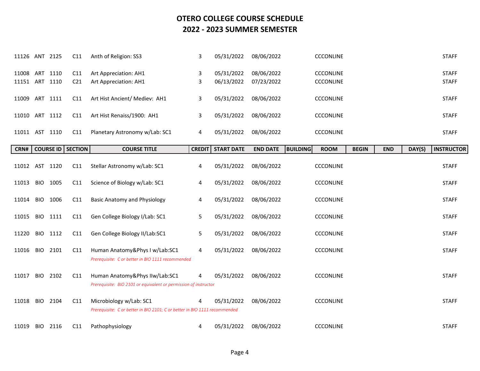| 11126 ANT 2125 |            |          | C11                        | Anth of Religion: SS3                                                                                 | 3             | 05/31/2022        | 08/06/2022      | <b>CCCONLINE</b>               |              |            |        | <b>STAFF</b>      |
|----------------|------------|----------|----------------------------|-------------------------------------------------------------------------------------------------------|---------------|-------------------|-----------------|--------------------------------|--------------|------------|--------|-------------------|
| 11008 ART 1110 |            |          | C11                        | Art Appreciation: AH1                                                                                 | 3             | 05/31/2022        | 08/06/2022      | <b>CCCONLINE</b>               |              |            |        | <b>STAFF</b>      |
| 11151 ART 1110 |            |          | C <sub>21</sub>            | Art Appreciation: AH1                                                                                 | 3             | 06/13/2022        | 07/23/2022      | <b>CCCONLINE</b>               |              |            |        | <b>STAFF</b>      |
| 11009 ART 1111 |            |          | C11                        | Art Hist Ancient/ Mediev: AH1                                                                         | 3             | 05/31/2022        | 08/06/2022      | <b>CCCONLINE</b>               |              |            |        | <b>STAFF</b>      |
| 11010 ART 1112 |            |          | C11                        | Art Hist Renaiss/1900: AH1                                                                            | 3             | 05/31/2022        | 08/06/2022      | <b>CCCONLINE</b>               |              |            |        | <b>STAFF</b>      |
| 11011 AST 1110 |            |          | C11                        | Planetary Astronomy w/Lab: SC1                                                                        | 4             | 05/31/2022        | 08/06/2022      | <b>CCCONLINE</b>               |              |            |        | <b>STAFF</b>      |
| CRN#           |            |          | <b>COURSE ID   SECTION</b> | <b>COURSE TITLE</b>                                                                                   | <b>CREDIT</b> | <b>START DATE</b> | <b>END DATE</b> | <b>BUILDING</b><br><b>ROOM</b> | <b>BEGIN</b> | <b>END</b> | DAY(S) | <b>INSTRUCTOR</b> |
| 11012 AST 1120 |            |          | C11                        | Stellar Astronomy w/Lab: SC1                                                                          | 4             | 05/31/2022        | 08/06/2022      | <b>CCCONLINE</b>               |              |            |        | <b>STAFF</b>      |
| 11013          | <b>BIO</b> | 1005     | C11                        | Science of Biology w/Lab: SC1                                                                         | 4             | 05/31/2022        | 08/06/2022      | <b>CCCONLINE</b>               |              |            |        | <b>STAFF</b>      |
| 11014          | <b>BIO</b> | 1006     | C11                        | <b>Basic Anatomy and Physiology</b>                                                                   | 4             | 05/31/2022        | 08/06/2022      | <b>CCCONLINE</b>               |              |            |        | <b>STAFF</b>      |
| 11015          | <b>BIO</b> | 1111     | C11                        | Gen College Biology I/Lab: SC1                                                                        | 5             | 05/31/2022        | 08/06/2022      | <b>CCCONLINE</b>               |              |            |        | <b>STAFF</b>      |
| 11220          | BIO.       | 1112     | C11                        | Gen College Biology II/Lab:SC1                                                                        | 5             | 05/31/2022        | 08/06/2022      | <b>CCCONLINE</b>               |              |            |        | <b>STAFF</b>      |
| 11016          |            | BIO 2101 | C11                        | Human Anatomy&Phys I w/Lab:SC1<br>Prerequisite: C or better in BIO 1111 recommended                   | 4             | 05/31/2022        | 08/06/2022      | <b>CCCONLINE</b>               |              |            |        | <b>STAFF</b>      |
| 11017          | <b>BIO</b> | 2102     | C11                        | Human Anatomy&Phys IIw/Lab:SC1<br>Prerequisite: BIO 2101 or equivalent or permission of instructor    |               | 05/31/2022        | 08/06/2022      | <b>CCCONLINE</b>               |              |            |        | <b>STAFF</b>      |
| 11018          | <b>BIO</b> | 2104     | C11                        | Microbiology w/Lab: SC1<br>Prerequisite: C or better in BIO 2101; C or better in BIO 1111 recommended | 4             | 05/31/2022        | 08/06/2022      | CCCONLINE                      |              |            |        | <b>STAFF</b>      |
| 11019          | <b>BIO</b> | 2116     | C <sub>11</sub>            | Pathophysiology                                                                                       | 4             | 05/31/2022        | 08/06/2022      | <b>CCCONLINE</b>               |              |            |        | <b>STAFF</b>      |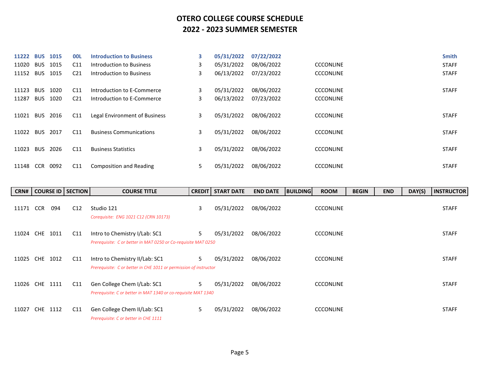| 11222 | <b>BUS</b> | 1015 | <b>OOL</b>      | <b>Introduction to Business</b> | 3  | 05/31/2022 | 07/22/2022 |                  | <b>Smith</b> |
|-------|------------|------|-----------------|---------------------------------|----|------------|------------|------------------|--------------|
| 11020 | <b>BUS</b> | 1015 | C11             | Introduction to Business        | 3  | 05/31/2022 | 08/06/2022 | <b>CCCONLINE</b> | <b>STAFF</b> |
| 11152 | <b>BUS</b> | 1015 | C <sub>21</sub> | Introduction to Business        | 3  | 06/13/2022 | 07/23/2022 | <b>CCCONLINE</b> | <b>STAFF</b> |
| 11123 | <b>BUS</b> | 1020 | C11             | Introduction to E-Commerce      | 3  | 05/31/2022 | 08/06/2022 | <b>CCCONLINE</b> | <b>STAFF</b> |
| 11287 | <b>BUS</b> | 1020 | C <sub>21</sub> | Introduction to E-Commerce      | 3  | 06/13/2022 | 07/23/2022 | <b>CCCONLINE</b> |              |
| 11021 | <b>BUS</b> | 2016 | C <sub>11</sub> | Legal Environment of Business   | 3  | 05/31/2022 | 08/06/2022 | <b>CCCONLINE</b> | <b>STAFF</b> |
| 11022 | <b>BUS</b> | 2017 | C11             | <b>Business Communications</b>  | 3  | 05/31/2022 | 08/06/2022 | <b>CCCONLINE</b> | <b>STAFF</b> |
| 11023 | <b>BUS</b> | 2026 | C11             | <b>Business Statistics</b>      | 3  | 05/31/2022 | 08/06/2022 | <b>CCCONLINE</b> | <b>STAFF</b> |
| 11148 | <b>CCR</b> | 0092 | C11             | Composition and Reading         | 5. | 05/31/2022 | 08/06/2022 | <b>CCCONLINE</b> | <b>STAFF</b> |

| CRN#  |                    | COURSE ID   SECTION | <b>COURSE TITLE</b>                                                                                 | <b>CREDIT</b> | <b>START DATE</b> | <b>END DATE</b> | <b>BUILDING</b> | <b>ROOM</b>      | <b>BEGIN</b> | <b>END</b> | DAY(S) | <b>INSTRUCTOR</b> |
|-------|--------------------|---------------------|-----------------------------------------------------------------------------------------------------|---------------|-------------------|-----------------|-----------------|------------------|--------------|------------|--------|-------------------|
| 11171 | <b>CCR</b><br>094  | C12                 | Studio 121<br>Corequisite: ENG 1021 C12 (CRN 10173)                                                 | 3             | 05/31/2022        | 08/06/2022      |                 | <b>CCCONLINE</b> |              |            |        | <b>STAFF</b>      |
| 11024 | CHE<br>1011        | C11                 | Intro to Chemistry I/Lab: SC1<br>Prerequisite: C or better in MAT 0250 or Co-requisite MAT 0250     | 5.            | 05/31/2022        | 08/06/2022      |                 | <b>CCCONLINE</b> |              |            |        | <b>STAFF</b>      |
| 11025 | CHE 1012           | C11                 | Intro to Chemistry II/Lab: SC1<br>Prerequisite: C or better in CHE 1011 or permission of instructor | 5.            | 05/31/2022        | 08/06/2022      |                 | <b>CCCONLINE</b> |              |            |        | <b>STAFF</b>      |
| 11026 | CHE 1111           | C11                 | Gen College Chem I/Lab: SC1<br>Prerequisite: C or better in MAT 1340 or co-requisite MAT 1340       | 5             | 05/31/2022        | 08/06/2022      |                 | <b>CCCONLINE</b> |              |            |        | <b>STAFF</b>      |
| 11027 | <b>CHE</b><br>1112 | C11                 | Gen College Chem II/Lab: SC1<br>Prerequisite: C or better in CHE 1111                               | 5.            | 05/31/2022        | 08/06/2022      |                 | <b>CCCONLINE</b> |              |            |        | <b>STAFF</b>      |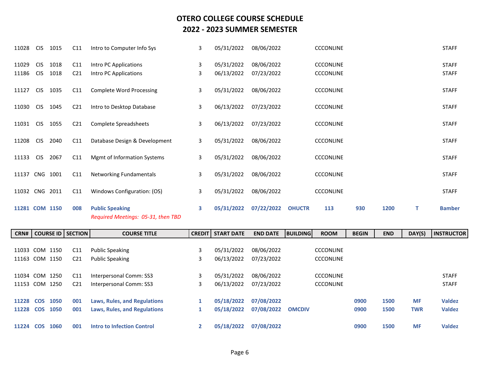| 11028          | <b>CIS</b>               | 1015         | C11                    | Intro to Computer Info Sys                                   | 3      | 05/31/2022               | 08/06/2022               |               | <b>CCCONLINE</b>                     |     |      |   | <b>STAFF</b>                 |
|----------------|--------------------------|--------------|------------------------|--------------------------------------------------------------|--------|--------------------------|--------------------------|---------------|--------------------------------------|-----|------|---|------------------------------|
| 11029<br>11186 | <b>CIS</b><br><b>CIS</b> | 1018<br>1018 | C11<br>C <sub>21</sub> | Intro PC Applications<br>Intro PC Applications               | 3<br>3 | 05/31/2022<br>06/13/2022 | 08/06/2022<br>07/23/2022 |               | <b>CCCONLINE</b><br><b>CCCONLINE</b> |     |      |   | <b>STAFF</b><br><b>STAFF</b> |
| 11127          | <b>CIS</b>               | 1035         | C11                    | <b>Complete Word Processing</b>                              | 3      | 05/31/2022               | 08/06/2022               |               | <b>CCCONLINE</b>                     |     |      |   | <b>STAFF</b>                 |
| 11030          | <b>CIS</b>               | 1045         | C <sub>21</sub>        | Intro to Desktop Database                                    | 3      | 06/13/2022               | 07/23/2022               |               | <b>CCCONLINE</b>                     |     |      |   | <b>STAFF</b>                 |
| 11031          | <b>CIS</b>               | 1055         | C <sub>21</sub>        | Complete Spreadsheets                                        | 3      | 06/13/2022               | 07/23/2022               |               | <b>CCCONLINE</b>                     |     |      |   | <b>STAFF</b>                 |
| 11208          | <b>CIS</b>               | 2040         | C11                    | Database Design & Development                                | 3      | 05/31/2022               | 08/06/2022               |               | <b>CCCONLINE</b>                     |     |      |   | <b>STAFF</b>                 |
| 11133          | <b>CIS</b>               | 2067         | C11                    | Mgmt of Information Systems                                  | 3      | 05/31/2022               | 08/06/2022               |               | <b>CCCONLINE</b>                     |     |      |   | <b>STAFF</b>                 |
| 11137 CNG      |                          | 1001         | C11                    | <b>Networking Fundamentals</b>                               | 3      | 05/31/2022               | 08/06/2022               |               | <b>CCCONLINE</b>                     |     |      |   | <b>STAFF</b>                 |
| 11032 CNG      |                          | 2011         | C11                    | Windows Configuration: (OS)                                  | 3      | 05/31/2022               | 08/06/2022               |               | <b>CCCONLINE</b>                     |     |      |   | <b>STAFF</b>                 |
| 11281 COM 1150 |                          |              | 008                    | <b>Public Speaking</b><br>Required Meetings: 05-31, then TBD | 3      | 05/31/2022               | 07/22/2022               | <b>OHUCTR</b> | 113                                  | 930 | 1200 | т | <b>Bamber</b>                |

| CRN#      | <b>COURSE ID   SECTION  </b> |                 | <b>COURSE TITLE</b>                 | <b>CREDIT  </b> | <b>START DATE</b> | <b>END DATE</b> | <b>BUILDING</b> | <b>ROOM</b>      | <b>BEGIN</b> | <b>END</b> | DAY(S)     | <b>INSTRUCTOR</b> |
|-----------|------------------------------|-----------------|-------------------------------------|-----------------|-------------------|-----------------|-----------------|------------------|--------------|------------|------------|-------------------|
|           |                              |                 |                                     |                 |                   |                 |                 |                  |              |            |            |                   |
| 11033 COM | 1150                         | C <sub>11</sub> | <b>Public Speaking</b>              | 3               | 05/31/2022        | 08/06/2022      |                 | <b>CCCONLINE</b> |              |            |            |                   |
|           | 11163 COM 1150               | C <sub>21</sub> | <b>Public Speaking</b>              | 3               | 06/13/2022        | 07/23/2022      |                 | <b>CCCONLINE</b> |              |            |            |                   |
|           |                              |                 |                                     |                 |                   |                 |                 |                  |              |            |            |                   |
|           | 11034 COM 1250               | C11             | Interpersonal Comm: SS3             | 3               | 05/31/2022        | 08/06/2022      |                 | <b>CCCONLINE</b> |              |            |            | <b>STAFF</b>      |
|           | 11153 COM 1250               | C <sub>21</sub> | Interpersonal Comm: SS3             | 3               | 06/13/2022        | 07/23/2022      |                 | <b>CCCONLINE</b> |              |            |            | <b>STAFF</b>      |
|           |                              |                 |                                     |                 |                   |                 |                 |                  |              |            |            |                   |
|           | 11228 COS 1050               | 001             | <b>Laws, Rules, and Regulations</b> |                 | 05/18/2022        | 07/08/2022      |                 |                  | 0900         | 1500       | <b>MF</b>  | <b>Valdez</b>     |
|           | 11228 COS 1050               | 001             | <b>Laws, Rules, and Regulations</b> |                 | 05/18/2022        | 07/08/2022      | <b>OMCDIV</b>   |                  | 0900         | 1500       | <b>TWR</b> | <b>Valdez</b>     |
|           |                              |                 |                                     |                 |                   |                 |                 |                  |              |            |            |                   |
| 11224 COS | 1060                         | 001             | <b>Intro to Infection Control</b>   |                 | 05/18/2022        | 07/08/2022      |                 |                  | 0900         | 1500       | <b>MF</b>  | <b>Valdez</b>     |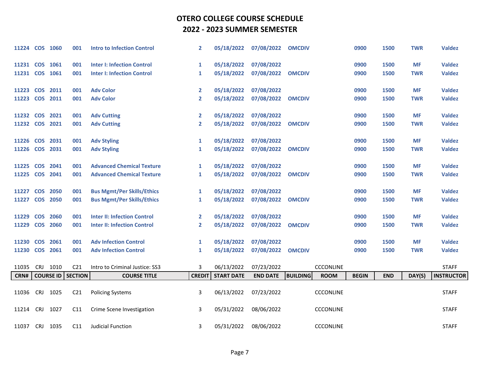| 11224 COS 1060 |            |                  | 001             | <b>Intro to Infection Control</b>  | $\overline{2}$ | 05/18/2022        | 07/08/2022      | <b>OMCDIV</b>                  | 0900         | 1500       | <b>TWR</b> | <b>Valdez</b>     |
|----------------|------------|------------------|-----------------|------------------------------------|----------------|-------------------|-----------------|--------------------------------|--------------|------------|------------|-------------------|
| 11231 COS 1061 |            |                  | 001             | <b>Inter I: Infection Control</b>  | $\mathbf{1}$   | 05/18/2022        | 07/08/2022      |                                | 0900         | 1500       | <b>MF</b>  | <b>Valdez</b>     |
| 11231 COS      |            | 1061             | 001             | <b>Inter I: Infection Control</b>  | 1              | 05/18/2022        | 07/08/2022      | <b>OMCDIV</b>                  | 0900         | 1500       | <b>TWR</b> | <b>Valdez</b>     |
| 11223          |            | <b>COS 2011</b>  | 001             | <b>Adv Color</b>                   | 2              | 05/18/2022        | 07/08/2022      |                                | 0900         | 1500       | <b>MF</b>  | <b>Valdez</b>     |
| 11223          |            | <b>COS 2011</b>  | 001             | <b>Adv Color</b>                   | $\mathbf{2}$   | 05/18/2022        | 07/08/2022      | <b>OMCDIV</b>                  | 0900         | 1500       | <b>TWR</b> | <b>Valdez</b>     |
| 11232          | <b>COS</b> | 2021             | 001             | <b>Adv Cutting</b>                 | 2              | 05/18/2022        | 07/08/2022      |                                | 0900         | 1500       | <b>MF</b>  | <b>Valdez</b>     |
| 11232 COS 2021 |            |                  | 001             | <b>Adv Cutting</b>                 | $\overline{2}$ | 05/18/2022        | 07/08/2022      | <b>OMCDIV</b>                  | 0900         | 1500       | <b>TWR</b> | <b>Valdez</b>     |
| 11226 COS 2031 |            |                  | 001             | <b>Adv Styling</b>                 | $\mathbf{1}$   | 05/18/2022        | 07/08/2022      |                                | 0900         | 1500       | <b>MF</b>  | <b>Valdez</b>     |
| 11226          |            | <b>COS 2031</b>  | 001             | <b>Adv Styling</b>                 | $\mathbf{1}$   | 05/18/2022        | 07/08/2022      | <b>OMCDIV</b>                  | 0900         | 1500       | <b>TWR</b> | <b>Valdez</b>     |
| 11225          |            | COS 2041         | 001             | <b>Advanced Chemical Texture</b>   | 1              | 05/18/2022        | 07/08/2022      |                                | 0900         | 1500       | <b>MF</b>  | <b>Valdez</b>     |
| 11225          |            | <b>COS 2041</b>  | 001             | <b>Advanced Chemical Texture</b>   | 1              | 05/18/2022        | 07/08/2022      | <b>OMCDIV</b>                  | 0900         | 1500       | <b>TWR</b> | <b>Valdez</b>     |
| 11227          | <b>COS</b> | 2050             | 001             | <b>Bus Mgmt/Per Skills/Ethics</b>  | $\mathbf{1}$   | 05/18/2022        | 07/08/2022      |                                | 0900         | 1500       | <b>MF</b>  | <b>Valdez</b>     |
| 11227 COS 2050 |            |                  | 001             | <b>Bus Mgmt/Per Skills/Ethics</b>  | 1              | 05/18/2022        | 07/08/2022      | <b>OMCDIV</b>                  | 0900         | 1500       | <b>TWR</b> | <b>Valdez</b>     |
| 11229          | <b>COS</b> | 2060             | 001             | <b>Inter II: Infection Control</b> | 2              | 05/18/2022        | 07/08/2022      |                                | 0900         | 1500       | <b>MF</b>  | <b>Valdez</b>     |
| 11229          |            | <b>COS 2060</b>  | 001             | <b>Inter II: Infection Control</b> | $\mathbf{2}$   | 05/18/2022        | 07/08/2022      | <b>OMCDIV</b>                  | 0900         | 1500       | <b>TWR</b> | <b>Valdez</b>     |
| 11230          | <b>COS</b> | 2061             | 001             | <b>Adv Infection Control</b>       | $\mathbf{1}$   | 05/18/2022        | 07/08/2022      |                                | 0900         | 1500       | <b>MF</b>  | <b>Valdez</b>     |
| 11230 COS 2061 |            |                  | 001             | <b>Adv Infection Control</b>       | 1              | 05/18/2022        | 07/08/2022      | <b>OMCDIV</b>                  | 0900         | 1500       | <b>TWR</b> | <b>Valdez</b>     |
| 11035          |            | CRJ 1010         | C <sub>21</sub> | Intro to Criminal Justice: SS3     | 3              | 06/13/2022        | 07/23/2022      | <b>CCCONLINE</b>               |              |            |            | <b>STAFF</b>      |
| CRN#           |            | <b>COURSE ID</b> | <b>SECTION</b>  | <b>COURSE TITLE</b>                | <b>CREDIT</b>  | <b>START DATE</b> | <b>END DATE</b> | <b>BUILDING</b><br><b>ROOM</b> | <b>BEGIN</b> | <b>END</b> | DAY(S)     | <b>INSTRUCTOR</b> |
| 11036          |            | CRJ 1025         | C <sub>21</sub> | <b>Policing Systems</b>            | 3              | 06/13/2022        | 07/23/2022      | <b>CCCONLINE</b>               |              |            |            | <b>STAFF</b>      |
| 11214          | <b>CRJ</b> | 1027             | C11             | Crime Scene Investigation          | 3              | 05/31/2022        | 08/06/2022      | <b>CCCONLINE</b>               |              |            |            | <b>STAFF</b>      |
| 11037          | <b>CRJ</b> | 1035             | C11             | Judicial Function                  | 3              | 05/31/2022        | 08/06/2022      | <b>CCCONLINE</b>               |              |            |            | <b>STAFF</b>      |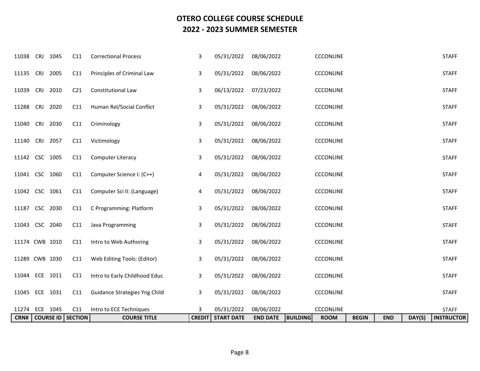| CRN#           |            |          | <b>COURSE ID   SECTION</b> | <b>COURSE TITLE</b>           | <b>CREDIT</b> | <b>START DATE</b> | <b>END DATE</b> | <b>BUILDING</b><br><b>ROOM</b> | <b>BEGIN</b> | <b>END</b> | DAY(S) | <b>INSTRUCTOR</b> |
|----------------|------------|----------|----------------------------|-------------------------------|---------------|-------------------|-----------------|--------------------------------|--------------|------------|--------|-------------------|
| 11274          |            | ECE 1045 | C11                        | Intro to ECE Techniques       | 3             | 05/31/2022        | 08/06/2022      | CCCONLINE                      |              |            |        | <b>STAFF</b>      |
| 11045 ECE 1031 |            |          | C11                        | Guidance Strategies Yng Child | 3             | 05/31/2022        | 08/06/2022      | <b>CCCONLINE</b>               |              |            |        | <b>STAFF</b>      |
| 11044 ECE      |            | 1011     | C11                        | Intro to Early Childhood Educ | 3             | 05/31/2022        | 08/06/2022      | CCCONLINE                      |              |            |        | <b>STAFF</b>      |
| 11289 CWB 1030 |            |          | C11                        | Web Editing Tools: (Editor)   | 3             | 05/31/2022        | 08/06/2022      | CCCONLINE                      |              |            |        | <b>STAFF</b>      |
| 11174 CWB 1010 |            |          | C11                        | Intro to Web Authoring        | 3             | 05/31/2022        | 08/06/2022      | <b>CCCONLINE</b>               |              |            |        | <b>STAFF</b>      |
| 11043 CSC 2040 |            |          | C11                        | Java Programming              | 3             | 05/31/2022        | 08/06/2022      | CCCONLINE                      |              |            |        | <b>STAFF</b>      |
| 11187          |            | CSC 2030 | C11                        | C Programming: Platform       | 3             | 05/31/2022        | 08/06/2022      | <b>CCCONLINE</b>               |              |            |        | <b>STAFF</b>      |
| 11042 CSC 1061 |            |          | C11                        | Computer Sci II: (Language)   | 4             | 05/31/2022        | 08/06/2022      | <b>CCCONLINE</b>               |              |            |        | <b>STAFF</b>      |
| 11041 CSC 1060 |            |          | C11                        | Computer Science I: (C++)     | 4             | 05/31/2022        | 08/06/2022      | <b>CCCONLINE</b>               |              |            |        | <b>STAFF</b>      |
| 11142 CSC 1005 |            |          | C11                        | Computer Literacy             | 3             | 05/31/2022        | 08/06/2022      | <b>CCCONLINE</b>               |              |            |        | <b>STAFF</b>      |
| 11140 CRJ      |            | 2057     | C11                        | Victimology                   | 3             | 05/31/2022        | 08/06/2022      | <b>CCCONLINE</b>               |              |            |        | <b>STAFF</b>      |
| 11040          | CRJ        | 2030     | C11                        | Criminology                   | 3             | 05/31/2022        | 08/06/2022      | <b>CCCONLINE</b>               |              |            |        | <b>STAFF</b>      |
| 11288          | <b>CRJ</b> | 2020     | C11                        | Human Rel/Social Conflict     | 3             | 05/31/2022        | 08/06/2022      | <b>CCCONLINE</b>               |              |            |        | <b>STAFF</b>      |
| 11039          | <b>CRJ</b> | 2010     | C <sub>21</sub>            | Constitutional Law            | 3             | 06/13/2022        | 07/23/2022      | <b>CCCONLINE</b>               |              |            |        | <b>STAFF</b>      |
| 11135 CRJ      |            | 2005     | C11                        | Principles of Criminal Law    | 3             | 05/31/2022        | 08/06/2022      | <b>CCCONLINE</b>               |              |            |        | <b>STAFF</b>      |
| 11038          | <b>CRJ</b> | 1045     | C11                        | <b>Correctional Process</b>   | 3             | 05/31/2022        | 08/06/2022      | <b>CCCONLINE</b>               |              |            |        | <b>STAFF</b>      |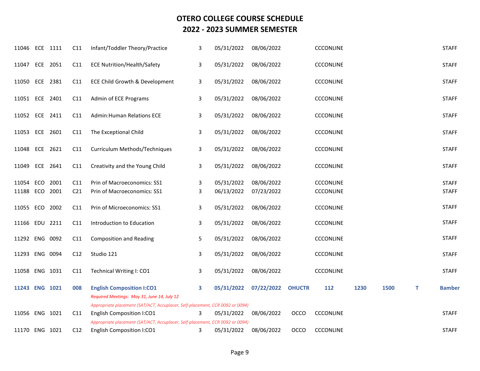| 11046                   |     | ECE 1111 | C11                    | Infant/Toddler Theory/Practice                                                  | 3            | 05/31/2022               | 08/06/2022               |               | CCCONLINE                            |      |      |   | <b>STAFF</b>                 |
|-------------------------|-----|----------|------------------------|---------------------------------------------------------------------------------|--------------|--------------------------|--------------------------|---------------|--------------------------------------|------|------|---|------------------------------|
| 11047 ECE 2051          |     |          | C11                    | <b>ECE Nutrition/Health/Safety</b>                                              | 3            | 05/31/2022               | 08/06/2022               |               | <b>CCCONLINE</b>                     |      |      |   | <b>STAFF</b>                 |
| 11050 ECE 2381          |     |          | C11                    | ECE Child Growth & Development                                                  | 3            | 05/31/2022               | 08/06/2022               |               | CCCONLINE                            |      |      |   | <b>STAFF</b>                 |
| 11051 ECE 2401          |     |          | C11                    | Admin of ECE Programs                                                           | 3            | 05/31/2022               | 08/06/2022               |               | CCCONLINE                            |      |      |   | <b>STAFF</b>                 |
| 11052                   | ECE | 2411     | C11                    | <b>Admin:Human Relations ECE</b>                                                | 3            | 05/31/2022               | 08/06/2022               |               | <b>CCCONLINE</b>                     |      |      |   | <b>STAFF</b>                 |
| 11053                   | ECE | 2601     | C11                    | The Exceptional Child                                                           | 3            | 05/31/2022               | 08/06/2022               |               | <b>CCCONLINE</b>                     |      |      |   | <b>STAFF</b>                 |
| 11048                   |     | ECE 2621 | C11                    | Curriculum Methods/Techniques                                                   | 3            | 05/31/2022               | 08/06/2022               |               | CCCONLINE                            |      |      |   | <b>STAFF</b>                 |
| 11049                   | ECE | 2641     | C11                    | Creativity and the Young Child                                                  | $\mathbf{3}$ | 05/31/2022               | 08/06/2022               |               | CCCONLINE                            |      |      |   | <b>STAFF</b>                 |
| 11054<br>11188 ECO 2001 | ECO | 2001     | C11<br>C <sub>21</sub> | Prin of Macroeconomics: SS1<br>Prin of Macroeconomics: SS1                      | 3<br>3       | 05/31/2022<br>06/13/2022 | 08/06/2022<br>07/23/2022 |               | <b>CCCONLINE</b><br><b>CCCONLINE</b> |      |      |   | <b>STAFF</b><br><b>STAFF</b> |
| 11055 ECO 2002          |     |          | C11                    | Prin of Microeconomics: SS1                                                     | 3            | 05/31/2022               | 08/06/2022               |               | <b>CCCONLINE</b>                     |      |      |   | <b>STAFF</b>                 |
| 11166 EDU 2211          |     |          | C11                    | Introduction to Education                                                       | 3            | 05/31/2022               | 08/06/2022               |               | <b>CCCONLINE</b>                     |      |      |   | <b>STAFF</b>                 |
| 11292 ENG 0092          |     |          | C11                    | <b>Composition and Reading</b>                                                  | 5            | 05/31/2022               | 08/06/2022               |               | CCCONLINE                            |      |      |   | <b>STAFF</b>                 |
| 11293 ENG 0094          |     |          | C12                    | Studio 121                                                                      | 3            | 05/31/2022               | 08/06/2022               |               | <b>CCCONLINE</b>                     |      |      |   | <b>STAFF</b>                 |
| 11058 ENG 1031          |     |          | C <sub>11</sub>        | Technical Writing I: CO1                                                        | 3            | 05/31/2022               | 08/06/2022               |               | <b>CCCONLINE</b>                     |      |      |   | <b>STAFF</b>                 |
| 11243 ENG 1021          |     |          | 008                    | <b>English Composition I:CO1</b><br>Required Meetings: May 31, June 14, July 12 | 3            | 05/31/2022               | 07/22/2022               | <b>OHUCTR</b> | 112                                  | 1230 | 1500 | т | <b>Bamber</b>                |
|                         |     |          |                        | Appropriate placement (SAT/ACT, Accuplacer, Self-placement, CCR 0092 or 0094)   |              |                          |                          |               |                                      |      |      |   |                              |
| 11056 ENG 1021          |     |          | C11                    | English Composition I:CO1                                                       | 3            | 05/31/2022               | 08/06/2022               | OCCO          | CCCONLINE                            |      |      |   | <b>STAFF</b>                 |
|                         |     |          |                        | Appropriate placement (SAT/ACT, Accuplacer, Self-placement, CCR 0092 or 0094)   |              |                          |                          |               |                                      |      |      |   |                              |
| 11170 ENG 1021          |     |          | C <sub>12</sub>        | English Composition I:CO1                                                       | 3            | 05/31/2022               | 08/06/2022               | <b>OCCO</b>   | <b>CCCONLINE</b>                     |      |      |   | <b>STAFF</b>                 |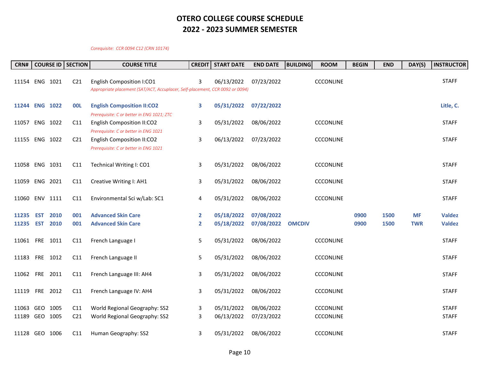#### *Corequisite: CCR 0094 C12 (CRN 10174)*

| CRN#      |                |      | <b>COURSE ID   SECTION</b> | <b>COURSE TITLE</b>                                                                                               | <b>CREDIT</b> | <b>START DATE</b> | <b>END DATE</b> | <b>BUILDING</b> | <b>ROOM</b>      | <b>BEGIN</b> | <b>END</b> | DAY(S)     | <b>INSTRUCTOR</b> |
|-----------|----------------|------|----------------------------|-------------------------------------------------------------------------------------------------------------------|---------------|-------------------|-----------------|-----------------|------------------|--------------|------------|------------|-------------------|
|           | 11154 ENG 1021 |      | C <sub>21</sub>            | English Composition I:CO1<br>Appropriate placement (SAT/ACT, Accuplacer, Self-placement, CCR 0092 or 0094)        | 3             | 06/13/2022        | 07/23/2022      |                 | <b>CCCONLINE</b> |              |            |            | <b>STAFF</b>      |
|           | 11244 ENG 1022 |      | <b>OOL</b>                 | <b>English Composition II:CO2</b>                                                                                 | 3             | 05/31/2022        | 07/22/2022      |                 |                  |              |            |            | Litle, C.         |
|           | 11057 ENG 1022 |      | C11                        | Prerequisite: C or better in ENG 1021; ZTC<br>English Composition II:CO2<br>Prerequisite: C or better in ENG 1021 | 3             | 05/31/2022        | 08/06/2022      |                 | <b>CCCONLINE</b> |              |            |            | <b>STAFF</b>      |
|           | 11155 ENG 1022 |      | C <sub>21</sub>            | <b>English Composition II:CO2</b><br>Prerequisite: C or better in ENG 1021                                        | 3             | 06/13/2022        | 07/23/2022      |                 | <b>CCCONLINE</b> |              |            |            | <b>STAFF</b>      |
|           | 11058 ENG 1031 |      | C11                        | Technical Writing I: CO1                                                                                          | 3             | 05/31/2022        | 08/06/2022      |                 | <b>CCCONLINE</b> |              |            |            | <b>STAFF</b>      |
|           | 11059 ENG 2021 |      | C11                        | Creative Writing I: AH1                                                                                           | 3             | 05/31/2022        | 08/06/2022      |                 | <b>CCCONLINE</b> |              |            |            | <b>STAFF</b>      |
|           | 11060 ENV 1111 |      | C11                        | Environmental Sci w/Lab: SC1                                                                                      | 4             | 05/31/2022        | 08/06/2022      |                 | <b>CCCONLINE</b> |              |            |            | <b>STAFF</b>      |
| 11235     | <b>EST</b>     | 2010 | 001                        | <b>Advanced Skin Care</b>                                                                                         | $\mathbf{2}$  | 05/18/2022        | 07/08/2022      |                 |                  | 0900         | 1500       | <b>MF</b>  | <b>Valdez</b>     |
| 11235 EST |                | 2010 | 001                        | <b>Advanced Skin Care</b>                                                                                         | $\mathbf{2}$  | 05/18/2022        | 07/08/2022      | <b>OMCDIV</b>   |                  | 0900         | 1500       | <b>TWR</b> | <b>Valdez</b>     |
| 11061 FRE |                | 1011 | C11                        | French Language I                                                                                                 | 5             | 05/31/2022        | 08/06/2022      |                 | <b>CCCONLINE</b> |              |            |            | <b>STAFF</b>      |
|           | 11183 FRE 1012 |      | C11                        | French Language II                                                                                                | 5             | 05/31/2022        | 08/06/2022      |                 | <b>CCCONLINE</b> |              |            |            | <b>STAFF</b>      |
| 11062 FRE |                | 2011 | C11                        | French Language III: AH4                                                                                          | 3             | 05/31/2022        | 08/06/2022      |                 | <b>CCCONLINE</b> |              |            |            | <b>STAFF</b>      |
|           | 11119 FRE 2012 |      | C11                        | French Language IV: AH4                                                                                           | 3             | 05/31/2022        | 08/06/2022      |                 | <b>CCCONLINE</b> |              |            |            | <b>STAFF</b>      |
| 11063     | GEO 1005       |      | C11                        | World Regional Geography: SS2                                                                                     | 3             | 05/31/2022        | 08/06/2022      |                 | <b>CCCONLINE</b> |              |            |            | <b>STAFF</b>      |
|           | 11189 GEO 1005 |      | C <sub>21</sub>            | World Regional Geography: SS2                                                                                     | 3             | 06/13/2022        | 07/23/2022      |                 | <b>CCCONLINE</b> |              |            |            | <b>STAFF</b>      |
|           | 11128 GEO 1006 |      | C11                        | Human Geography: SS2                                                                                              | 3             | 05/31/2022        | 08/06/2022      |                 | <b>CCCONLINE</b> |              |            |            | <b>STAFF</b>      |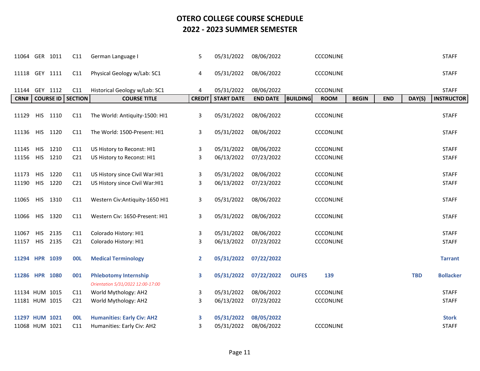| 11064          |            | GER 1011         | C11             | German Language I                                                 | 5             | 05/31/2022        | 08/06/2022      | CCCONLINE                      |              |            |            | <b>STAFF</b>      |
|----------------|------------|------------------|-----------------|-------------------------------------------------------------------|---------------|-------------------|-----------------|--------------------------------|--------------|------------|------------|-------------------|
| 11118 GEY 1111 |            |                  | C11             | Physical Geology w/Lab: SC1                                       | 4             | 05/31/2022        | 08/06/2022      | CCCONLINE                      |              |            |            | <b>STAFF</b>      |
| 11144          |            | GEY 1112         | C11             | Historical Geology w/Lab: SC1                                     | 4             | 05/31/2022        | 08/06/2022      | <b>CCCONLINE</b>               |              |            |            | <b>STAFF</b>      |
| CRN#           |            | <b>COURSE ID</b> | <b>SECTION</b>  | <b>COURSE TITLE</b>                                               | <b>CREDIT</b> | <b>START DATE</b> | <b>END DATE</b> | <b>BUILDING</b><br><b>ROOM</b> | <b>BEGIN</b> | <b>END</b> | DAY(S)     | <b>INSTRUCTOR</b> |
| 11129          | <b>HIS</b> | 1110             | C11             | The World: Antiquity-1500: HI1                                    | 3             | 05/31/2022        | 08/06/2022      | <b>CCCONLINE</b>               |              |            |            | <b>STAFF</b>      |
| 11136          |            | HIS 1120         | C11             | The World: 1500-Present: HI1                                      | 3             | 05/31/2022        | 08/06/2022      | <b>CCCONLINE</b>               |              |            |            | <b>STAFF</b>      |
| 11145          | <b>HIS</b> | 1210             | C11             | US History to Reconst: HI1                                        | 3             | 05/31/2022        | 08/06/2022      | <b>CCCONLINE</b>               |              |            |            | <b>STAFF</b>      |
| 11156          |            | HIS 1210         | C <sub>21</sub> | US History to Reconst: HI1                                        | 3             | 06/13/2022        | 07/23/2022      | <b>CCCONLINE</b>               |              |            |            | <b>STAFF</b>      |
| 11173          | <b>HIS</b> | 1220             | C11             | US History since Civil War: HI1                                   | 3             | 05/31/2022        | 08/06/2022      | <b>CCCONLINE</b>               |              |            |            | <b>STAFF</b>      |
| 11190          |            | HIS 1220         | C <sub>21</sub> | US History since Civil War:HI1                                    | 3             | 06/13/2022        | 07/23/2022      | <b>CCCONLINE</b>               |              |            |            | <b>STAFF</b>      |
|                |            |                  |                 |                                                                   |               |                   |                 |                                |              |            |            |                   |
| 11065          |            | HIS 1310         | C11             | Western Civ:Antiquity-1650 HI1                                    | 3             | 05/31/2022        | 08/06/2022      | <b>CCCONLINE</b>               |              |            |            | <b>STAFF</b>      |
| 11066          |            | HIS 1320         | C11             | Western Civ: 1650-Present: HI1                                    | 3             | 05/31/2022        | 08/06/2022      | <b>CCCONLINE</b>               |              |            |            | <b>STAFF</b>      |
| 11067          | <b>HIS</b> | 2135             | C11             | Colorado History: HI1                                             | 3             | 05/31/2022        | 08/06/2022      | CCCONLINE                      |              |            |            | <b>STAFF</b>      |
| 11157          |            | HIS 2135         | C <sub>21</sub> | Colorado History: HI1                                             | 3             | 06/13/2022        | 07/23/2022      | <b>CCCONLINE</b>               |              |            |            | <b>STAFF</b>      |
| 11294 HPR 1039 |            |                  | <b>00L</b>      | <b>Medical Terminology</b>                                        | $\mathbf{2}$  | 05/31/2022        | 07/22/2022      |                                |              |            |            | <b>Tarrant</b>    |
| 11286 HPR 1080 |            |                  | 001             | <b>Phlebotomy Internship</b><br>Orientation 5/31/2022 12:00-17:00 | 3             | 05/31/2022        | 07/22/2022      | <b>OLIFES</b><br>139           |              |            | <b>TBD</b> | <b>Bollacker</b>  |
| 11134 HUM 1015 |            |                  | C11             | World Mythology: AH2                                              | 3             | 05/31/2022        | 08/06/2022      | <b>CCCONLINE</b>               |              |            |            | <b>STAFF</b>      |
| 11181 HUM 1015 |            |                  | C <sub>21</sub> | World Mythology: AH2                                              | 3             | 06/13/2022        | 07/23/2022      | <b>CCCONLINE</b>               |              |            |            | <b>STAFF</b>      |
|                |            |                  |                 |                                                                   |               |                   |                 |                                |              |            |            |                   |
| 11297 HUM 1021 |            |                  | <b>OOL</b>      | <b>Humanities: Early Civ: AH2</b>                                 | 3.            | 05/31/2022        | 08/05/2022      |                                |              |            |            | <b>Stork</b>      |
| 11068 HUM 1021 |            |                  | C11             | Humanities: Early Civ: AH2                                        | 3             | 05/31/2022        | 08/06/2022      | <b>CCCONLINE</b>               |              |            |            | <b>STAFF</b>      |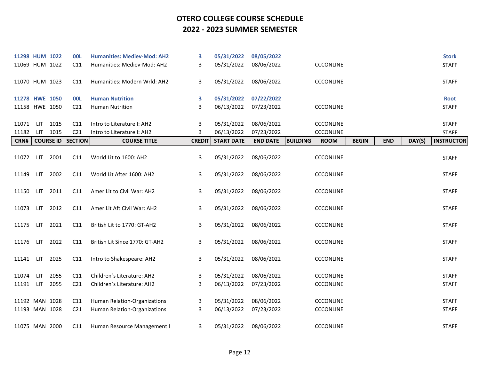| 11298 HUM 1022 |            |                  | <b>OOL</b>      | <b>Humanities: Mediev-Mod: AH2</b> | 3             | 05/31/2022        | 08/05/2022      |                                |              |            |        | <b>Stork</b>      |
|----------------|------------|------------------|-----------------|------------------------------------|---------------|-------------------|-----------------|--------------------------------|--------------|------------|--------|-------------------|
| 11069 HUM 1022 |            |                  | C11             | Humanities: Mediev-Mod: AH2        | 3             | 05/31/2022        | 08/06/2022      | <b>CCCONLINE</b>               |              |            |        | <b>STAFF</b>      |
| 11070 HUM 1023 |            |                  | C11             | Humanities: Modern Wrld: AH2       | 3             | 05/31/2022        | 08/06/2022      | <b>CCCONLINE</b>               |              |            |        | <b>STAFF</b>      |
| 11278 HWE 1050 |            |                  | <b>OOL</b>      | <b>Human Nutrition</b>             | 3             | 05/31/2022        | 07/22/2022      |                                |              |            |        | <b>Root</b>       |
| 11158 HWE 1050 |            |                  | C <sub>21</sub> | <b>Human Nutrition</b>             | 3             | 06/13/2022        | 07/23/2022      | <b>CCCONLINE</b>               |              |            |        | <b>STAFF</b>      |
|                |            |                  |                 |                                    |               |                   |                 |                                |              |            |        |                   |
| 11071          | LIT        | 1015             | C11             | Intro to Literature I: AH2         | 3             | 05/31/2022        | 08/06/2022      | <b>CCCONLINE</b>               |              |            |        | <b>STAFF</b>      |
| 11182          |            | LIT 1015         | C <sub>21</sub> | Intro to Literature I: AH2         | 3             | 06/13/2022        | 07/23/2022      | <b>CCCONLINE</b>               |              |            |        | <b>STAFF</b>      |
| CRN#           |            | <b>COURSE ID</b> | <b>SECTION</b>  | <b>COURSE TITLE</b>                | <b>CREDIT</b> | <b>START DATE</b> | <b>END DATE</b> | <b>BUILDING</b><br><b>ROOM</b> | <b>BEGIN</b> | <b>END</b> | DAY(S) | <b>INSTRUCTOR</b> |
| 11072          | <b>LIT</b> | 2001             | C11             | World Lit to 1600: AH2             | 3             | 05/31/2022        | 08/06/2022      | <b>CCCONLINE</b>               |              |            |        | <b>STAFF</b>      |
| 11149          | LIT.       | 2002             | C11             | World Lit After 1600: AH2          | 3             | 05/31/2022        | 08/06/2022      | <b>CCCONLINE</b>               |              |            |        | <b>STAFF</b>      |
| 11150          | LIT        | 2011             | C11             | Amer Lit to Civil War: AH2         | 3             | 05/31/2022        | 08/06/2022      | <b>CCCONLINE</b>               |              |            |        | <b>STAFF</b>      |
| 11073          | LIT        | 2012             | C11             | Amer Lit Aft Civil War: AH2        | 3             | 05/31/2022        | 08/06/2022      | <b>CCCONLINE</b>               |              |            |        | <b>STAFF</b>      |
| 11175          | LIT        | 2021             | C11             | British Lit to 1770: GT-AH2        | 3             | 05/31/2022        | 08/06/2022      | <b>CCCONLINE</b>               |              |            |        | <b>STAFF</b>      |
| 11176          | LIT.       | 2022             | C11             | British Lit Since 1770: GT-AH2     | 3             | 05/31/2022        | 08/06/2022      | <b>CCCONLINE</b>               |              |            |        | <b>STAFF</b>      |
| 11141          | LIT        | 2025             | C11             | Intro to Shakespeare: AH2          | 3             | 05/31/2022        | 08/06/2022      | CCCONLINE                      |              |            |        | <b>STAFF</b>      |
| 11074          | <b>LIT</b> | 2055             | C11             | Children's Literature: AH2         | 3             | 05/31/2022        | 08/06/2022      | <b>CCCONLINE</b>               |              |            |        | <b>STAFF</b>      |
| 11191          | LIT.       | 2055             | C <sub>21</sub> | Children's Literature: AH2         | 3             | 06/13/2022        | 07/23/2022      | <b>CCCONLINE</b>               |              |            |        | <b>STAFF</b>      |
|                |            |                  |                 |                                    |               |                   |                 |                                |              |            |        |                   |
| 11192 MAN 1028 |            |                  | C11             | Human Relation-Organizations       | 3             | 05/31/2022        | 08/06/2022      | <b>CCCONLINE</b>               |              |            |        | <b>STAFF</b>      |
| 11193 MAN 1028 |            |                  | C <sub>21</sub> | Human Relation-Organizations       | 3             | 06/13/2022        | 07/23/2022      | <b>CCCONLINE</b>               |              |            |        | <b>STAFF</b>      |
| 11075 MAN 2000 |            |                  | C11             | Human Resource Management I        | 3             | 05/31/2022        | 08/06/2022      | <b>CCCONLINE</b>               |              |            |        | <b>STAFF</b>      |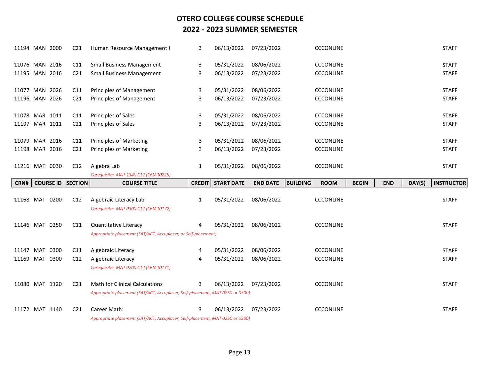| 11194 MAN 2000 |                  | C <sub>21</sub> | Human Resource Management I                                                   | 3             | 06/13/2022        | 07/23/2022      | <b>CCCONLINE</b>               |              |            |        | <b>STAFF</b>      |
|----------------|------------------|-----------------|-------------------------------------------------------------------------------|---------------|-------------------|-----------------|--------------------------------|--------------|------------|--------|-------------------|
| 11076 MAN 2016 |                  | C11             | <b>Small Business Management</b>                                              | 3             | 05/31/2022        | 08/06/2022      | <b>CCCONLINE</b>               |              |            |        | <b>STAFF</b>      |
| 11195 MAN 2016 |                  | C <sub>21</sub> | <b>Small Business Management</b>                                              | 3             | 06/13/2022        | 07/23/2022      | <b>CCCONLINE</b>               |              |            |        | <b>STAFF</b>      |
| 11077 MAN 2026 |                  | C11             | Principles of Management                                                      | 3             | 05/31/2022        | 08/06/2022      | <b>CCCONLINE</b>               |              |            |        | <b>STAFF</b>      |
| 11196 MAN 2026 |                  | C <sub>21</sub> | Principles of Management                                                      | 3             | 06/13/2022        | 07/23/2022      | <b>CCCONLINE</b>               |              |            |        | <b>STAFF</b>      |
| 11078 MAR 1011 |                  | C11             | Principles of Sales                                                           | 3             | 05/31/2022        | 08/06/2022      | <b>CCCONLINE</b>               |              |            |        | <b>STAFF</b>      |
| 11197 MAR 1011 |                  | C <sub>21</sub> | Principles of Sales                                                           | 3             | 06/13/2022        | 07/23/2022      | <b>CCCONLINE</b>               |              |            |        | <b>STAFF</b>      |
| 11079 MAR 2016 |                  | C11             | <b>Principles of Marketing</b>                                                | 3             | 05/31/2022        | 08/06/2022      | <b>CCCONLINE</b>               |              |            |        | <b>STAFF</b>      |
| 11198 MAR 2016 |                  | C <sub>21</sub> | <b>Principles of Marketing</b>                                                | 3             | 06/13/2022        | 07/23/2022      | <b>CCCONLINE</b>               |              |            |        | <b>STAFF</b>      |
| 11216 MAT 0030 |                  | C12             | Algebra Lab                                                                   | 1             | 05/31/2022        | 08/06/2022      | <b>CCCONLINE</b>               |              |            |        | <b>STAFF</b>      |
|                |                  |                 | Corequisite: MAT 1340 C12 (CRN 10225)                                         |               |                   |                 |                                |              |            |        |                   |
|                |                  |                 |                                                                               |               |                   |                 |                                |              |            |        |                   |
| CRN#           | <b>COURSE ID</b> | <b>SECTION</b>  | <b>COURSE TITLE</b>                                                           | <b>CREDIT</b> | <b>START DATE</b> | <b>END DATE</b> | <b>BUILDING</b><br><b>ROOM</b> | <b>BEGIN</b> | <b>END</b> | DAY(S) | <b>INSTRUCTOR</b> |
| 11168 MAT 0200 |                  | C12             | Algebraic Literacy Lab<br>Corequisite: MAT 0300 C12 (CRN 10172)               | 1             | 05/31/2022        | 08/06/2022      | <b>CCCONLINE</b>               |              |            |        | <b>STAFF</b>      |
| 11146 MAT 0250 |                  | C11             | <b>Quantitative Literacy</b>                                                  | 4             | 05/31/2022        | 08/06/2022      | <b>CCCONLINE</b>               |              |            |        | <b>STAFF</b>      |
|                |                  |                 | Appropriate placement (SAT/ACT, Accuplacer, or Self-placement)                |               |                   |                 |                                |              |            |        |                   |
| 11147 MAT 0300 |                  | C11             | Algebraic Literacy                                                            | 4             | 05/31/2022        | 08/06/2022      | <b>CCCONLINE</b>               |              |            |        | <b>STAFF</b>      |
| 11169 MAT 0300 |                  | C12             | Algebraic Literacy<br>Corequisite: MAT 0200 C12 (CRN 10171)                   | 4             | 05/31/2022        | 08/06/2022      | <b>CCCONLINE</b>               |              |            |        | <b>STAFF</b>      |
| 11080 MAT 1120 |                  | C <sub>21</sub> | <b>Math for Clinical Calculations</b>                                         | 3             | 06/13/2022        | 07/23/2022      | <b>CCCONLINE</b>               |              |            |        | <b>STAFF</b>      |
|                |                  |                 | Appropriate placement (SAT/ACT, Accuplacer, Self-placement, MAT 0250 or 0300) |               |                   |                 |                                |              |            |        |                   |
| 11172 MAT 1140 |                  | C <sub>21</sub> | Career Math:                                                                  | 3             | 06/13/2022        | 07/23/2022      | <b>CCCONLINE</b>               |              |            |        | <b>STAFF</b>      |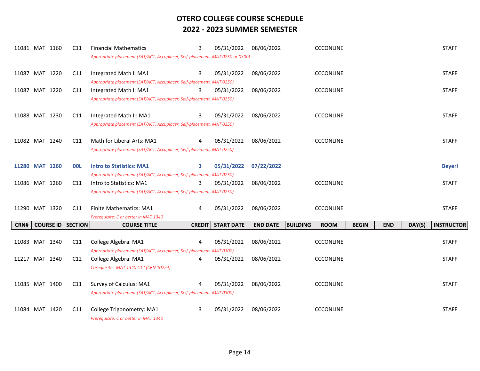| 11081 MAT 1160 |                  | C11            | <b>Financial Mathematics</b><br>Appropriate placement (SAT/ACT, Accuplacer, Self-placement, MAT 0250 or 0300) | 3             | 05/31/2022        | 08/06/2022      | <b>CCCONLINE</b>               |              |            |        | <b>STAFF</b>      |
|----------------|------------------|----------------|---------------------------------------------------------------------------------------------------------------|---------------|-------------------|-----------------|--------------------------------|--------------|------------|--------|-------------------|
| 11087 MAT 1220 |                  | C11            | Integrated Math I: MA1<br>Appropriate placement (SAT/ACT, Accuplacer, Self-placement, MAT 0250)               | 3             | 05/31/2022        | 08/06/2022      | <b>CCCONLINE</b>               |              |            |        | <b>STAFF</b>      |
| 11087 MAT 1220 |                  | C11            | Integrated Math I: MA1<br>Appropriate placement (SAT/ACT, Accuplacer, Self-placement, MAT 0250)               | 3             | 05/31/2022        | 08/06/2022      | <b>CCCONLINE</b>               |              |            |        | <b>STAFF</b>      |
| 11088 MAT 1230 |                  | C11            | Integrated Math II: MA1<br>Appropriate placement (SAT/ACT, Accuplacer, Self-placement, MAT 0250)              | 3             | 05/31/2022        | 08/06/2022      | <b>CCCONLINE</b>               |              |            |        | <b>STAFF</b>      |
| 11082 MAT 1240 |                  | C11            | Math for Liberal Arts: MA1<br>Appropriate placement (SAT/ACT, Accuplacer, Self-placement, MAT 0250)           |               | 05/31/2022        | 08/06/2022      | <b>CCCONLINE</b>               |              |            |        | <b>STAFF</b>      |
| 11280 MAT 1260 |                  | <b>OOL</b>     | <b>Intro to Statistics: MA1</b><br>Appropriate placement (SAT/ACT, Accuplacer, Self-placement, MAT 0250)      | 3             | 05/31/2022        | 07/22/2022      |                                |              |            |        | <b>Beyerl</b>     |
| 11086 MAT 1260 |                  | C11            | Intro to Statistics: MA1<br>Appropriate placement (SAT/ACT, Accuplacer, Self-placement, MAT 0250)             | 3             | 05/31/2022        | 08/06/2022      | <b>CCCONLINE</b>               |              |            |        | <b>STAFF</b>      |
| 11290 MAT 1320 |                  | C11            | <b>Finite Mathematics: MA1</b><br>Prerequisite: C or better in MAT 1340                                       | 4             | 05/31/2022        | 08/06/2022      | <b>CCCONLINE</b>               |              |            |        | <b>STAFF</b>      |
| CRN#           | <b>COURSE ID</b> | <b>SECTION</b> | <b>COURSE TITLE</b>                                                                                           | <b>CREDIT</b> | <b>START DATE</b> | <b>END DATE</b> | <b>BUILDING</b><br><b>ROOM</b> | <b>BEGIN</b> | <b>END</b> | DAY(S) | <b>INSTRUCTOR</b> |
| 11083 MAT 1340 |                  | C11            | College Algebra: MA1<br>Appropriate placement (SAT/ACT, Accuplacer, Self-placement, MAT 0300)                 | 4             | 05/31/2022        | 08/06/2022      | <b>CCCONLINE</b>               |              |            |        | <b>STAFF</b>      |
| 11217 MAT 1340 |                  | C12            | College Algebra: MA1<br>Corequisite: MAT 1340 C12 (CRN 10224)                                                 | 4             | 05/31/2022        | 08/06/2022      | CCCONLINE                      |              |            |        | <b>STAFF</b>      |
| 11085 MAT 1400 |                  | C11            | Survey of Calculus: MA1<br>Appropriate placement (SAT/ACT, Accuplacer, Self-placement, MAT 0300)              | 4             | 05/31/2022        | 08/06/2022      | <b>CCCONLINE</b>               |              |            |        | <b>STAFF</b>      |
| 11084 MAT 1420 |                  | C11            | College Trigonometry: MA1<br>Prerequisite: C or better in MAT 1340                                            | 3             | 05/31/2022        | 08/06/2022      | <b>CCCONLINE</b>               |              |            |        | <b>STAFF</b>      |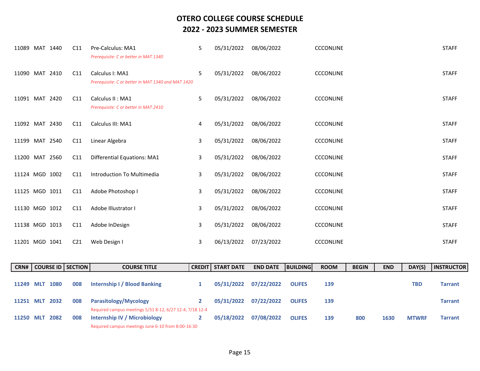| 11089          | MAT 1440 | C11             | Pre-Calculus: MA1<br>Prerequisite: C or better in MAT 1340            | 5 | 05/31/2022 | 08/06/2022 | <b>CCCONLINE</b> | <b>STAFF</b> |
|----------------|----------|-----------------|-----------------------------------------------------------------------|---|------------|------------|------------------|--------------|
| 11090          | MAT 2410 | C11             | Calculus I: MA1<br>Prerequisite: C or better in MAT 1340 and MAT 1420 | 5 | 05/31/2022 | 08/06/2022 | <b>CCCONLINE</b> | <b>STAFF</b> |
| 11091          | MAT 2420 | C11             | Calculus II: MA1<br>Prerequisite: C or better in MAT 2410             | 5 | 05/31/2022 | 08/06/2022 | <b>CCCONLINE</b> | <b>STAFF</b> |
| 11092 MAT 2430 |          | C11             | Calculus III: MA1                                                     | 4 | 05/31/2022 | 08/06/2022 | <b>CCCONLINE</b> | <b>STAFF</b> |
| 11199          | MAT 2540 | C11             | Linear Algebra                                                        | 3 | 05/31/2022 | 08/06/2022 | <b>CCCONLINE</b> | <b>STAFF</b> |
| 11200 MAT 2560 |          | C11             | <b>Differential Equations: MA1</b>                                    | 3 | 05/31/2022 | 08/06/2022 | <b>CCCONLINE</b> | <b>STAFF</b> |
| 11124 MGD 1002 |          | C11             | Introduction To Multimedia                                            | 3 | 05/31/2022 | 08/06/2022 | <b>CCCONLINE</b> | <b>STAFF</b> |
| 11125 MGD 1011 |          | C11             | Adobe Photoshop I                                                     | 3 | 05/31/2022 | 08/06/2022 | <b>CCCONLINE</b> | <b>STAFF</b> |
| 11130 MGD 1012 |          | C11             | Adobe Illustrator I                                                   | 3 | 05/31/2022 | 08/06/2022 | <b>CCCONLINE</b> | <b>STAFF</b> |
| 11138 MGD 1013 |          | C11             | Adobe InDesign                                                        | 3 | 05/31/2022 | 08/06/2022 | <b>CCCONLINE</b> | <b>STAFF</b> |
| 11201 MGD 1041 |          | C <sub>21</sub> | Web Design I                                                          | 3 | 06/13/2022 | 07/23/2022 | <b>CCCONLINE</b> | <b>STAFF</b> |

|           |     |      | <b>CRN#   COURSE ID   SECTION  </b> | <b>COURSE TITLE</b>                                                                      | <b>CREDIT I START DATE</b> | <b>END DATE</b> | <b>BUILDING</b> | <b>ROOM</b> | <b>BEGIN</b> | <b>END</b> | DAY(S)       | <b>INSTRUCTOR</b> |
|-----------|-----|------|-------------------------------------|------------------------------------------------------------------------------------------|----------------------------|-----------------|-----------------|-------------|--------------|------------|--------------|-------------------|
| 11249     | MLT | 1080 | 008                                 | Internship I / Blood Banking                                                             | 05/31/2022                 | 07/22/2022      | <b>OLIFES</b>   | 139         |              |            | TBD          | <b>Tarrant</b>    |
| 11251 MLT |     | 2032 | 008                                 | Parasitology/Mycology                                                                    | 05/31/2022                 | 07/22/2022      | <b>OLIFES</b>   | 139         |              |            |              | <b>Tarrant</b>    |
| 11250 MLT |     | 2082 | 008                                 | Required campus meetings 5/31 8-12, 6/27 12-4, 7/18 12-4<br>Internship IV / Microbiology | 05/18/2022                 | 07/08/2022      | <b>OLIFES</b>   | 139         | 800          | 1630       | <b>MTWRF</b> | <b>Tarrant</b>    |
|           |     |      |                                     | Required campus meetings June 6-10 from 8:00-16:30                                       |                            |                 |                 |             |              |            |              |                   |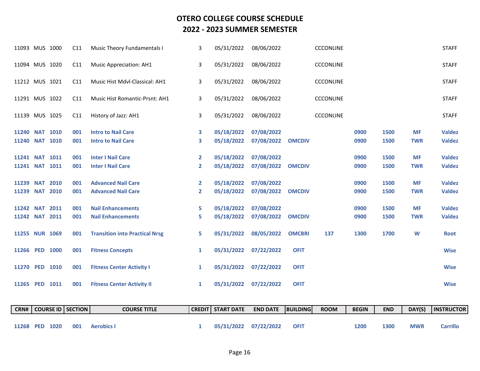| 11268            | <b>PED 1020</b>  |      | 001            | <b>Aerobics I</b>                     | 1             | 05/31/2022        | 07/22/2022      | <b>OFIT</b>     |                  | 1200         | 1300       | <b>MWR</b> | <b>Carrillo</b>   |
|------------------|------------------|------|----------------|---------------------------------------|---------------|-------------------|-----------------|-----------------|------------------|--------------|------------|------------|-------------------|
| CRN#             | <b>COURSE ID</b> |      | <b>SECTION</b> | <b>COURSE TITLE</b>                   | <b>CREDIT</b> | <b>START DATE</b> | <b>END DATE</b> | <b>BUILDING</b> | <b>ROOM</b>      | <b>BEGIN</b> | <b>END</b> | DAY(S)     | <b>INSTRUCTOR</b> |
|                  |                  |      |                |                                       |               |                   |                 |                 |                  |              |            |            |                   |
|                  | 11265 PED 1011   |      | 001            | <b>Fitness Center Activity II</b>     | $\mathbf{1}$  | 05/31/2022        | 07/22/2022      | <b>OFIT</b>     |                  |              |            |            | <b>Wise</b>       |
|                  | 11270 PED 1010   |      | 001            | <b>Fitness Center Activity I</b>      | $\mathbf{1}$  | 05/31/2022        | 07/22/2022      | <b>OFIT</b>     |                  |              |            |            | <b>Wise</b>       |
|                  | 11266 PED 1000   |      | 001            | <b>Fitness Concepts</b>               | $\mathbf{1}$  | 05/31/2022        | 07/22/2022      | <b>OFIT</b>     |                  |              |            |            | <b>Wise</b>       |
|                  |                  |      |                |                                       |               |                   |                 |                 |                  |              |            |            |                   |
|                  | 11255 NUR 1069   |      | 001            | <b>Transition into Practical Nrsg</b> | 5             | 05/31/2022        | 08/05/2022      | <b>OMCBRI</b>   | 137              | 1300         | 1700       | W          | <b>Root</b>       |
|                  | 11242 NAT 2011   |      | 001            | <b>Nail Enhancements</b>              | 5.            | 05/18/2022        | 07/08/2022      | <b>OMCDIV</b>   |                  | 0900         | 1500       | <b>TWR</b> | <b>Valdez</b>     |
| <b>11242 NAT</b> |                  | 2011 | 001            | <b>Nail Enhancements</b>              | 5.            | 05/18/2022        | 07/08/2022      |                 |                  | 0900         | 1500       | <b>MF</b>  | <b>Valdez</b>     |
| 11239            | <b>NAT</b>       | 2010 | 001            | <b>Advanced Nail Care</b>             | $\mathbf{2}$  | 05/18/2022        | 07/08/2022      | <b>OMCDIV</b>   |                  | 0900         | 1500       | <b>TWR</b> | <b>Valdez</b>     |
| <b>11239 NAT</b> |                  | 2010 | 001            | <b>Advanced Nail Care</b>             | $\mathbf{2}$  | 05/18/2022        | 07/08/2022      |                 |                  | 0900         | 1500       | <b>MF</b>  | <b>Valdez</b>     |
|                  | 11241 NAT 1011   |      | 001            | <b>Inter I Nail Care</b>              | $\mathbf{2}$  | 05/18/2022        | 07/08/2022      | <b>OMCDIV</b>   |                  | 0900         | 1500       | <b>TWR</b> | <b>Valdez</b>     |
|                  | 11241 NAT 1011   |      | 001            | <b>Inter I Nail Care</b>              | $\mathbf{2}$  | 05/18/2022        | 07/08/2022      |                 |                  | 0900         | 1500       | <b>MF</b>  | <b>Valdez</b>     |
|                  | 11240 NAT 1010   |      | 001            | <b>Intro to Nail Care</b>             | 3             | 05/18/2022        | 07/08/2022      | <b>OMCDIV</b>   |                  | 0900         | 1500       | <b>TWR</b> | <b>Valdez</b>     |
|                  | 11240 NAT 1010   |      | 001            | <b>Intro to Nail Care</b>             | 3             | 05/18/2022        | 07/08/2022      |                 |                  | 0900         | 1500       | <b>MF</b>  | <b>Valdez</b>     |
|                  | 11139 MUS 1025   |      | C11            | History of Jazz: AH1                  | 3             | 05/31/2022        | 08/06/2022      |                 | <b>CCCONLINE</b> |              |            |            | <b>STAFF</b>      |
|                  | 11291 MUS 1022   |      | C11            | Music Hist Romantic-Prsnt: AH1        | 3             | 05/31/2022        | 08/06/2022      |                 | <b>CCCONLINE</b> |              |            |            | <b>STAFF</b>      |
|                  | 11212 MUS 1021   |      | C11            | Music Hist Mdvl-Classical: AH1        | 3             | 05/31/2022        | 08/06/2022      |                 | <b>CCCONLINE</b> |              |            |            | <b>STAFF</b>      |
|                  | 11094 MUS 1020   |      | C11            | <b>Music Appreciation: AH1</b>        | 3             | 05/31/2022        | 08/06/2022      |                 | <b>CCCONLINE</b> |              |            |            | <b>STAFF</b>      |
|                  |                  |      |                |                                       |               |                   |                 |                 |                  |              |            |            |                   |
|                  | 11093 MUS 1000   |      | C11            | <b>Music Theory Fundamentals I</b>    | 3             | 05/31/2022        | 08/06/2022      |                 | <b>CCCONLINE</b> |              |            |            | <b>STAFF</b>      |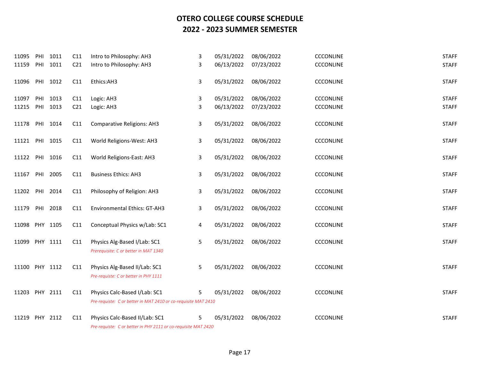| 11095          | PHI | 1011     | C11             | Intro to Philosophy: AH3                                                                         | 3 | 05/31/2022 | 08/06/2022 | <b>CCCONLINE</b> | <b>STAFF</b> |
|----------------|-----|----------|-----------------|--------------------------------------------------------------------------------------------------|---|------------|------------|------------------|--------------|
| 11159          | PHI | 1011     | C <sub>21</sub> | Intro to Philosophy: AH3                                                                         | 3 | 06/13/2022 | 07/23/2022 | <b>CCCONLINE</b> | <b>STAFF</b> |
| 11096          |     | PHI 1012 | C11             | Ethics:AH3                                                                                       | 3 | 05/31/2022 | 08/06/2022 | <b>CCCONLINE</b> | <b>STAFF</b> |
| 11097          | PHI | 1013     | C11             | Logic: AH3                                                                                       | 3 | 05/31/2022 | 08/06/2022 | <b>CCCONLINE</b> | <b>STAFF</b> |
| 11215          |     | PHI 1013 | C <sub>21</sub> | Logic: AH3                                                                                       | 3 | 06/13/2022 | 07/23/2022 | CCCONLINE        | <b>STAFF</b> |
| 11178          |     | PHI 1014 | C11             | <b>Comparative Religions: AH3</b>                                                                | 3 | 05/31/2022 | 08/06/2022 | <b>CCCONLINE</b> | <b>STAFF</b> |
| 11121          | PHI | 1015     | C11             | World Religions-West: AH3                                                                        | 3 | 05/31/2022 | 08/06/2022 | <b>CCCONLINE</b> | <b>STAFF</b> |
| 11122          |     | PHI 1016 | C11             | World Religions-East: AH3                                                                        | 3 | 05/31/2022 | 08/06/2022 | <b>CCCONLINE</b> | <b>STAFF</b> |
| 11167          | PHI | 2005     | C11             | <b>Business Ethics: AH3</b>                                                                      | 3 | 05/31/2022 | 08/06/2022 | CCCONLINE        | <b>STAFF</b> |
| 11202          | PHI | 2014     | C11             | Philosophy of Religion: AH3                                                                      | 3 | 05/31/2022 | 08/06/2022 | <b>CCCONLINE</b> | <b>STAFF</b> |
| 11179          |     | PHI 2018 | C11             | Environmental Ethics: GT-AH3                                                                     | 3 | 05/31/2022 | 08/06/2022 | CCCONLINE        | <b>STAFF</b> |
| 11098 PHY 1105 |     |          | C11             | Conceptual Physics w/Lab: SC1                                                                    | 4 | 05/31/2022 | 08/06/2022 | <b>CCCONLINE</b> | <b>STAFF</b> |
| 11099 PHY 1111 |     |          | C11             | Physics Alg-Based I/Lab: SC1<br>Prerequisite: C or better in MAT 1340                            | 5 | 05/31/2022 | 08/06/2022 | <b>CCCONLINE</b> | <b>STAFF</b> |
| 11100 PHY 1112 |     |          | C11             | Physics Alg-Based II/Lab: SC1<br>Pre-requiste: C or better in PHY 1111                           | 5 | 05/31/2022 | 08/06/2022 | <b>CCCONLINE</b> | <b>STAFF</b> |
| 11203 PHY 2111 |     |          | C11             | Physics Calc-Based I/Lab: SC1                                                                    | 5 | 05/31/2022 | 08/06/2022 | <b>CCCONLINE</b> | <b>STAFF</b> |
|                |     |          |                 | Pre-requiste: C or better in MAT 2410 or co-requisite MAT 2410                                   |   |            |            |                  |              |
| 11219          | PHY | 2112     | C11             | Physics Calc-Based II/Lab: SC1<br>Pre-requiste: C or better in PHY 2111 or co-requisite MAT 2420 | 5 | 05/31/2022 | 08/06/2022 | <b>CCCONLINE</b> | <b>STAFF</b> |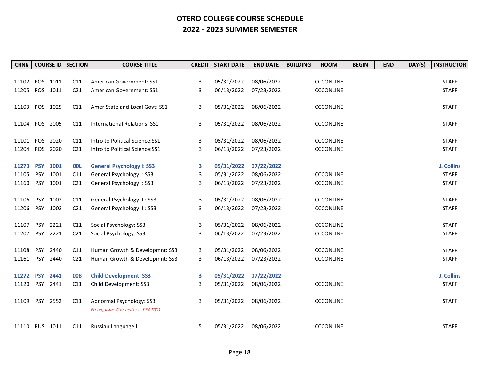| CRN#           |            |          | <b>COURSE ID   SECTION</b> | <b>COURSE TITLE</b>                   | <b>CREDIT</b> | <b>START DATE</b> | <b>END DATE</b> | <b>BUILDING</b><br><b>ROOM</b> | <b>BEGIN</b> | <b>END</b> | DAY(S) | <b>INSTRUCTOR</b> |
|----------------|------------|----------|----------------------------|---------------------------------------|---------------|-------------------|-----------------|--------------------------------|--------------|------------|--------|-------------------|
|                |            |          |                            |                                       |               |                   |                 |                                |              |            |        |                   |
| 11102          |            | POS 1011 | C11                        | American Government: SS1              | 3             | 05/31/2022        | 08/06/2022      | <b>CCCONLINE</b>               |              |            |        | <b>STAFF</b>      |
| 11205          |            | POS 1011 | C <sub>21</sub>            | American Government: SS1              | 3             | 06/13/2022        | 07/23/2022      | <b>CCCONLINE</b>               |              |            |        | <b>STAFF</b>      |
|                |            |          |                            |                                       |               |                   |                 |                                |              |            |        |                   |
| 11103 POS 1025 |            |          | C11                        | Amer State and Local Govt: SS1        | 3             | 05/31/2022        | 08/06/2022      | <b>CCCONLINE</b>               |              |            |        | <b>STAFF</b>      |
|                |            |          |                            |                                       |               |                   |                 |                                |              |            |        |                   |
| 11104          |            | POS 2005 | C11                        | <b>International Relations: SS1</b>   | 3             | 05/31/2022        | 08/06/2022      | <b>CCCONLINE</b>               |              |            |        | <b>STAFF</b>      |
|                |            |          |                            |                                       |               |                   |                 |                                |              |            |        |                   |
| 11101 POS      |            | 2020     | C11                        | Intro to Political Science: SS1       | 3             | 05/31/2022        | 08/06/2022      | <b>CCCONLINE</b>               |              |            |        | <b>STAFF</b>      |
| 11204          | POS        | 2020     | C <sub>21</sub>            | Intro to Political Science: SS1       | 3             | 06/13/2022        | 07/23/2022      | <b>CCCONLINE</b>               |              |            |        | <b>STAFF</b>      |
|                |            |          |                            |                                       |               |                   |                 |                                |              |            |        |                   |
| 11273          | <b>PSY</b> | 1001     | <b>OOL</b>                 | <b>General Psychology I: SS3</b>      | 3             | 05/31/2022        | 07/22/2022      |                                |              |            |        | J. Collins        |
| 11105          | <b>PSY</b> | 1001     | C11                        | General Psychology I: SS3             | 3             | 05/31/2022        | 08/06/2022      | <b>CCCONLINE</b>               |              |            |        | <b>STAFF</b>      |
| 11160          | <b>PSY</b> | 1001     | C <sub>21</sub>            | General Psychology I: SS3             | 3             | 06/13/2022        | 07/23/2022      | <b>CCCONLINE</b>               |              |            |        | <b>STAFF</b>      |
|                |            |          |                            |                                       |               |                   |                 |                                |              |            |        |                   |
| 11106          | <b>PSY</b> | 1002     | C11                        | General Psychology II: SS3            | 3             | 05/31/2022        | 08/06/2022      | <b>CCCONLINE</b>               |              |            |        | <b>STAFF</b>      |
| 11206          | <b>PSY</b> | 1002     | C <sub>21</sub>            | General Psychology II: SS3            | 3             | 06/13/2022        | 07/23/2022      | <b>CCCONLINE</b>               |              |            |        | <b>STAFF</b>      |
|                |            |          |                            |                                       |               |                   |                 |                                |              |            |        |                   |
| 11107          |            | PSY 2221 | C11                        | Social Psychology: SS3                | 3             | 05/31/2022        | 08/06/2022      | <b>CCCONLINE</b>               |              |            |        | <b>STAFF</b>      |
| 11207          | <b>PSY</b> | 2221     | C <sub>21</sub>            | Social Psychology: SS3                | 3             | 06/13/2022        | 07/23/2022      | <b>CCCONLINE</b>               |              |            |        | <b>STAFF</b>      |
| 11108          | <b>PSY</b> | 2440     |                            | Human Growth & Developmnt: SS3        |               | 05/31/2022        | 08/06/2022      | <b>CCCONLINE</b>               |              |            |        | <b>STAFF</b>      |
|                |            |          | C11                        |                                       | 3             |                   |                 |                                |              |            |        |                   |
| 11161          | <b>PSY</b> | 2440     | C <sub>21</sub>            | Human Growth & Developmnt: SS3        | 3             | 06/13/2022        | 07/23/2022      | <b>CCCONLINE</b>               |              |            |        | <b>STAFF</b>      |
| 11272 PSY      |            | 2441     | 008                        | <b>Child Development: SS3</b>         | 3             | 05/31/2022        | 07/22/2022      |                                |              |            |        | J. Collins        |
| 11120          | <b>PSY</b> | 2441     | C11                        | Child Development: SS3                | 3             | 05/31/2022        | 08/06/2022      | <b>CCCONLINE</b>               |              |            |        | <b>STAFF</b>      |
|                |            |          |                            |                                       |               |                   |                 |                                |              |            |        |                   |
| 11109          |            | PSY 2552 | C11                        | Abnormal Psychology: SS3              | 3             | 05/31/2022        | 08/06/2022      | <b>CCCONLINE</b>               |              |            |        | <b>STAFF</b>      |
|                |            |          |                            | Prerequisite: C or better in PSY 1001 |               |                   |                 |                                |              |            |        |                   |
|                |            |          |                            |                                       |               |                   |                 |                                |              |            |        |                   |
| 11110 RUS 1011 |            |          | C11                        | Russian Language I                    | 5             | 05/31/2022        | 08/06/2022      | <b>CCCONLINE</b>               |              |            |        | <b>STAFF</b>      |